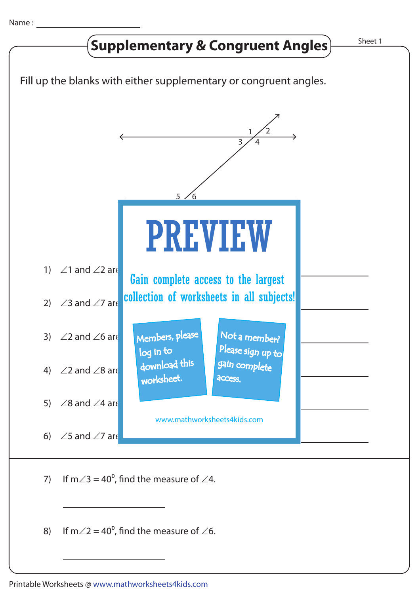

8) If m $\angle$ 2 = 40<sup>o</sup>, find the measure of  $\angle$ 6.